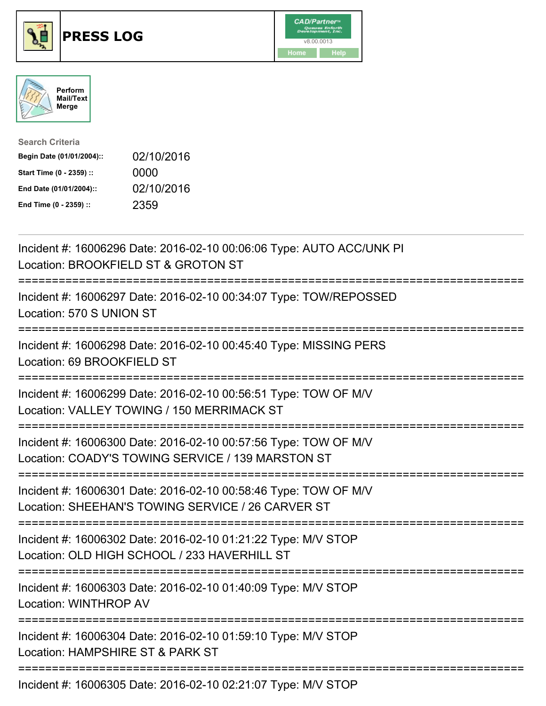





| <b>Search Criteria</b>    |            |
|---------------------------|------------|
| Begin Date (01/01/2004):: | 02/10/2016 |
| Start Time (0 - 2359) ::  | 0000       |
| End Date (01/01/2004)::   | 02/10/2016 |
| End Time (0 - 2359) ::    | 2359       |

| Incident #: 16006296 Date: 2016-02-10 00:06:06 Type: AUTO ACC/UNK PI<br>Location: BROOKFIELD ST & GROTON ST                                               |
|-----------------------------------------------------------------------------------------------------------------------------------------------------------|
| Incident #: 16006297 Date: 2016-02-10 00:34:07 Type: TOW/REPOSSED<br>Location: 570 S UNION ST                                                             |
| Incident #: 16006298 Date: 2016-02-10 00:45:40 Type: MISSING PERS<br>Location: 69 BROOKFIELD ST                                                           |
| Incident #: 16006299 Date: 2016-02-10 00:56:51 Type: TOW OF M/V<br>Location: VALLEY TOWING / 150 MERRIMACK ST<br>======================                   |
| Incident #: 16006300 Date: 2016-02-10 00:57:56 Type: TOW OF M/V<br>Location: COADY'S TOWING SERVICE / 139 MARSTON ST<br>;================================ |
| Incident #: 16006301 Date: 2016-02-10 00:58:46 Type: TOW OF M/V<br>Location: SHEEHAN'S TOWING SERVICE / 26 CARVER ST                                      |
| Incident #: 16006302 Date: 2016-02-10 01:21:22 Type: M/V STOP<br>Location: OLD HIGH SCHOOL / 233 HAVERHILL ST<br>========================                 |
| Incident #: 16006303 Date: 2016-02-10 01:40:09 Type: M/V STOP<br><b>Location: WINTHROP AV</b>                                                             |
| Incident #: 16006304 Date: 2016-02-10 01:59:10 Type: M/V STOP<br>Location: HAMPSHIRE ST & PARK ST                                                         |
| Incident #: 16006305 Date: 2016-02-10 02:21:07 Type: M/V STOP                                                                                             |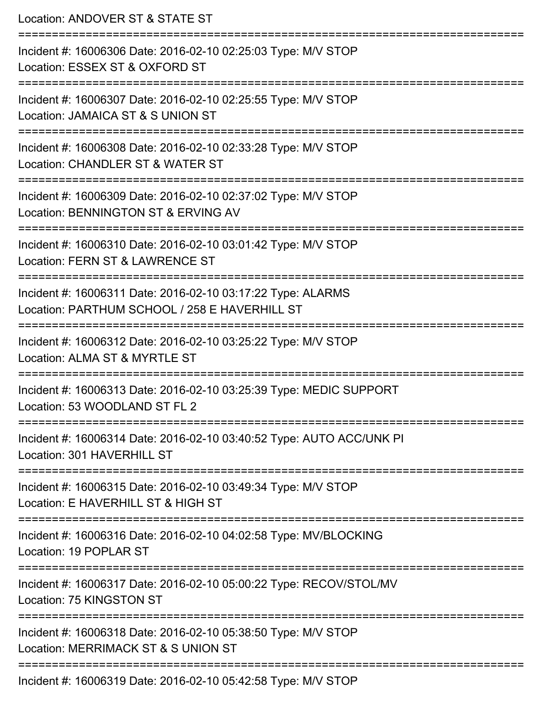Location: ANDOVER ST & STATE ST =========================================================================== Incident #: 16006306 Date: 2016-02-10 02:25:03 Type: M/V STOP Location: ESSEX ST & OXFORD ST =========================================================================== Incident #: 16006307 Date: 2016-02-10 02:25:55 Type: M/V STOP Location: JAMAICA ST & S UNION ST =========================================================================== Incident #: 16006308 Date: 2016-02-10 02:33:28 Type: M/V STOP Location: CHANDLER ST & WATER ST =========================================================================== Incident #: 16006309 Date: 2016-02-10 02:37:02 Type: M/V STOP Location: BENNINGTON ST & ERVING AV =========================================================================== Incident #: 16006310 Date: 2016-02-10 03:01:42 Type: M/V STOP Location: FERN ST & LAWRENCE ST =========================================================================== Incident #: 16006311 Date: 2016-02-10 03:17:22 Type: ALARMS Location: PARTHUM SCHOOL / 258 E HAVERHILL ST =========================================================================== Incident #: 16006312 Date: 2016-02-10 03:25:22 Type: M/V STOP Location: ALMA ST & MYRTLE ST =========================================================================== Incident #: 16006313 Date: 2016-02-10 03:25:39 Type: MEDIC SUPPORT Location: 53 WOODLAND ST FL 2 =========================================================================== Incident #: 16006314 Date: 2016-02-10 03:40:52 Type: AUTO ACC/UNK PI Location: 301 HAVERHILL ST =========================================================================== Incident #: 16006315 Date: 2016-02-10 03:49:34 Type: M/V STOP Location: E HAVERHILL ST & HIGH ST =========================================================================== Incident #: 16006316 Date: 2016-02-10 04:02:58 Type: MV/BLOCKING Location: 19 POPLAR ST =========================================================================== Incident #: 16006317 Date: 2016-02-10 05:00:22 Type: RECOV/STOL/MV Location: 75 KINGSTON ST =========================================================================== Incident #: 16006318 Date: 2016-02-10 05:38:50 Type: M/V STOP Location: MERRIMACK ST & S UNION ST =========================================================================== Incident #: 16006319 Date: 2016-02-10 05:42:58 Type: M/V STOP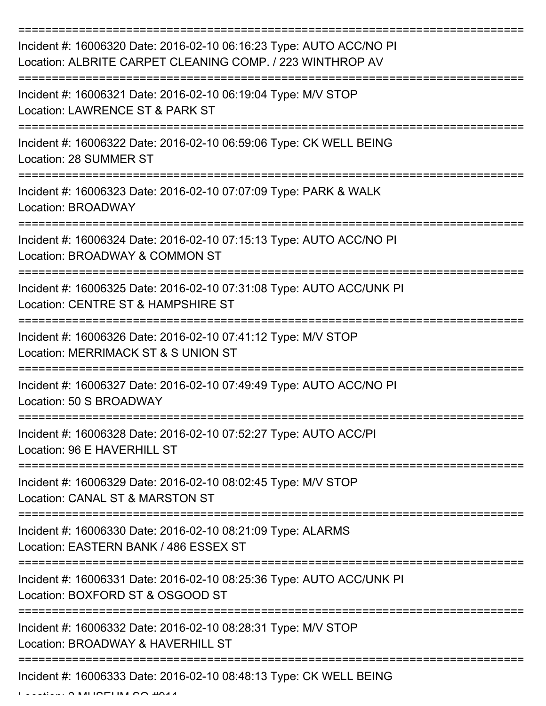| Incident #: 16006320 Date: 2016-02-10 06:16:23 Type: AUTO ACC/NO PI<br>Location: ALBRITE CARPET CLEANING COMP. / 223 WINTHROP AV |
|----------------------------------------------------------------------------------------------------------------------------------|
| Incident #: 16006321 Date: 2016-02-10 06:19:04 Type: M/V STOP<br>Location: LAWRENCE ST & PARK ST                                 |
| Incident #: 16006322 Date: 2016-02-10 06:59:06 Type: CK WELL BEING<br>Location: 28 SUMMER ST                                     |
| Incident #: 16006323 Date: 2016-02-10 07:07:09 Type: PARK & WALK<br>Location: BROADWAY                                           |
| Incident #: 16006324 Date: 2016-02-10 07:15:13 Type: AUTO ACC/NO PI<br>Location: BROADWAY & COMMON ST                            |
| Incident #: 16006325 Date: 2016-02-10 07:31:08 Type: AUTO ACC/UNK PI<br>Location: CENTRE ST & HAMPSHIRE ST                       |
| Incident #: 16006326 Date: 2016-02-10 07:41:12 Type: M/V STOP<br>Location: MERRIMACK ST & S UNION ST                             |
| Incident #: 16006327 Date: 2016-02-10 07:49:49 Type: AUTO ACC/NO PI<br>Location: 50 S BROADWAY                                   |
| Incident #: 16006328 Date: 2016-02-10 07:52:27 Type: AUTO ACC/PI<br>Location: 96 E HAVERHILL ST                                  |
| Incident #: 16006329 Date: 2016-02-10 08:02:45 Type: M/V STOP<br>Location: CANAL ST & MARSTON ST                                 |
| Incident #: 16006330 Date: 2016-02-10 08:21:09 Type: ALARMS<br>Location: EASTERN BANK / 486 ESSEX ST                             |
| Incident #: 16006331 Date: 2016-02-10 08:25:36 Type: AUTO ACC/UNK PI<br>Location: BOXFORD ST & OSGOOD ST                         |
| Incident #: 16006332 Date: 2016-02-10 08:28:31 Type: M/V STOP<br>Location: BROADWAY & HAVERHILL ST                               |
| Incident #: 16006333 Date: 2016-02-10 08:48:13 Type: CK WELL BEING                                                               |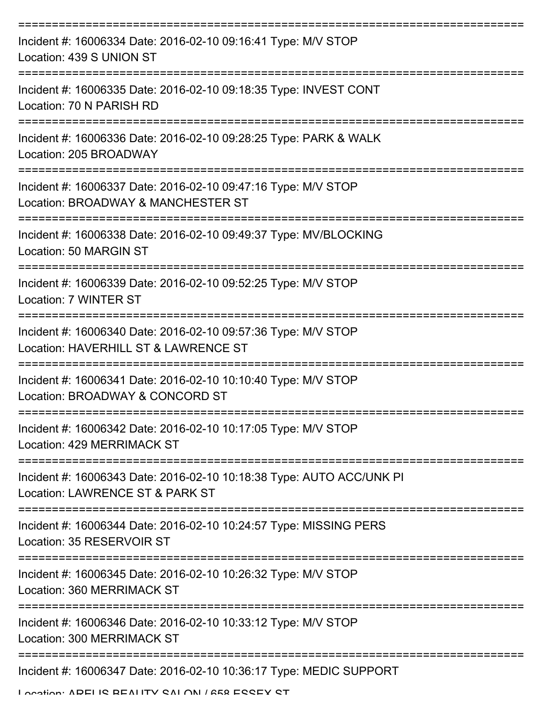| Incident #: 16006334 Date: 2016-02-10 09:16:41 Type: M/V STOP<br>Location: 439 S UNION ST                                    |
|------------------------------------------------------------------------------------------------------------------------------|
| Incident #: 16006335 Date: 2016-02-10 09:18:35 Type: INVEST CONT<br>Location: 70 N PARISH RD                                 |
| Incident #: 16006336 Date: 2016-02-10 09:28:25 Type: PARK & WALK<br>Location: 205 BROADWAY                                   |
| Incident #: 16006337 Date: 2016-02-10 09:47:16 Type: M/V STOP<br>Location: BROADWAY & MANCHESTER ST                          |
| Incident #: 16006338 Date: 2016-02-10 09:49:37 Type: MV/BLOCKING<br>Location: 50 MARGIN ST<br>------------------------------ |
| Incident #: 16006339 Date: 2016-02-10 09:52:25 Type: M/V STOP<br>Location: 7 WINTER ST                                       |
| Incident #: 16006340 Date: 2016-02-10 09:57:36 Type: M/V STOP<br>Location: HAVERHILL ST & LAWRENCE ST                        |
| Incident #: 16006341 Date: 2016-02-10 10:10:40 Type: M/V STOP<br>Location: BROADWAY & CONCORD ST                             |
| Incident #: 16006342 Date: 2016-02-10 10:17:05 Type: M/V STOP<br>Location: 429 MERRIMACK ST                                  |
| Incident #: 16006343 Date: 2016-02-10 10:18:38 Type: AUTO ACC/UNK PI<br>Location: LAWRENCE ST & PARK ST                      |
| Incident #: 16006344 Date: 2016-02-10 10:24:57 Type: MISSING PERS<br>Location: 35 RESERVOIR ST                               |
| Incident #: 16006345 Date: 2016-02-10 10:26:32 Type: M/V STOP<br><b>Location: 360 MERRIMACK ST</b>                           |
| Incident #: 16006346 Date: 2016-02-10 10:33:12 Type: M/V STOP<br>Location: 300 MERRIMACK ST                                  |
| Incident #: 16006347 Date: 2016-02-10 10:36:17 Type: MEDIC SUPPORT                                                           |

Location: ADELIC BEALITY CALON / 658 ECCEY CT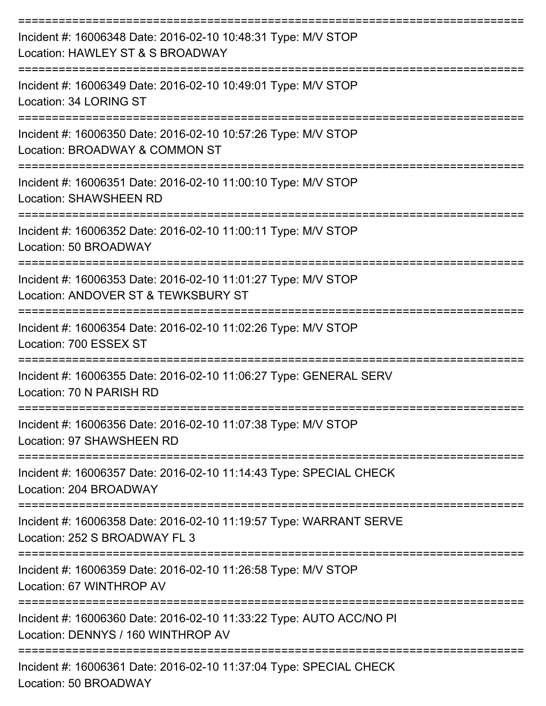| Incident #: 16006348 Date: 2016-02-10 10:48:31 Type: M/V STOP<br>Location: HAWLEY ST & S BROADWAY         |
|-----------------------------------------------------------------------------------------------------------|
| Incident #: 16006349 Date: 2016-02-10 10:49:01 Type: M/V STOP<br>Location: 34 LORING ST                   |
| Incident #: 16006350 Date: 2016-02-10 10:57:26 Type: M/V STOP<br>Location: BROADWAY & COMMON ST           |
| Incident #: 16006351 Date: 2016-02-10 11:00:10 Type: M/V STOP<br><b>Location: SHAWSHEEN RD</b>            |
| Incident #: 16006352 Date: 2016-02-10 11:00:11 Type: M/V STOP<br>Location: 50 BROADWAY                    |
| Incident #: 16006353 Date: 2016-02-10 11:01:27 Type: M/V STOP<br>Location: ANDOVER ST & TEWKSBURY ST      |
| Incident #: 16006354 Date: 2016-02-10 11:02:26 Type: M/V STOP<br>Location: 700 ESSEX ST                   |
| Incident #: 16006355 Date: 2016-02-10 11:06:27 Type: GENERAL SERV<br>Location: 70 N PARISH RD             |
| Incident #: 16006356 Date: 2016-02-10 11:07:38 Type: M/V STOP<br>Location: 97 SHAWSHEEN RD                |
| Incident #: 16006357 Date: 2016-02-10 11:14:43 Type: SPECIAL CHECK<br>Location: 204 BROADWAY              |
| Incident #: 16006358 Date: 2016-02-10 11:19:57 Type: WARRANT SERVE<br>Location: 252 S BROADWAY FL 3       |
| Incident #: 16006359 Date: 2016-02-10 11:26:58 Type: M/V STOP<br>Location: 67 WINTHROP AV                 |
| Incident #: 16006360 Date: 2016-02-10 11:33:22 Type: AUTO ACC/NO PI<br>Location: DENNYS / 160 WINTHROP AV |
| Incident #: 16006361 Date: 2016-02-10 11:37:04 Type: SPECIAL CHECK                                        |

Location: 50 BROADWAY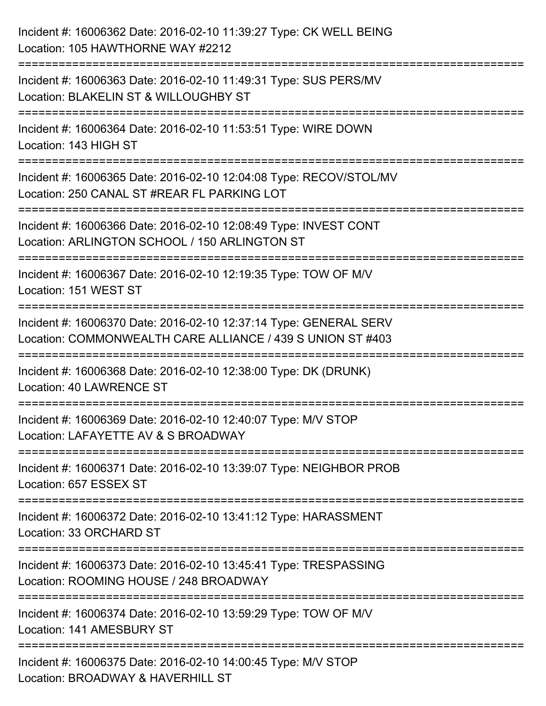| Incident #: 16006362 Date: 2016-02-10 11:39:27 Type: CK WELL BEING<br>Location: 105 HAWTHORNE WAY #2212                                    |
|--------------------------------------------------------------------------------------------------------------------------------------------|
| =============================<br>Incident #: 16006363 Date: 2016-02-10 11:49:31 Type: SUS PERS/MV<br>Location: BLAKELIN ST & WILLOUGHBY ST |
| Incident #: 16006364 Date: 2016-02-10 11:53:51 Type: WIRE DOWN<br>Location: 143 HIGH ST                                                    |
| Incident #: 16006365 Date: 2016-02-10 12:04:08 Type: RECOV/STOL/MV<br>Location: 250 CANAL ST #REAR FL PARKING LOT                          |
| Incident #: 16006366 Date: 2016-02-10 12:08:49 Type: INVEST CONT<br>Location: ARLINGTON SCHOOL / 150 ARLINGTON ST<br>=================     |
| Incident #: 16006367 Date: 2016-02-10 12:19:35 Type: TOW OF M/V<br>Location: 151 WEST ST                                                   |
| Incident #: 16006370 Date: 2016-02-10 12:37:14 Type: GENERAL SERV<br>Location: COMMONWEALTH CARE ALLIANCE / 439 S UNION ST #403            |
| Incident #: 16006368 Date: 2016-02-10 12:38:00 Type: DK (DRUNK)<br><b>Location: 40 LAWRENCE ST</b>                                         |
| Incident #: 16006369 Date: 2016-02-10 12:40:07 Type: M/V STOP<br>Location: LAFAYETTE AV & S BROADWAY                                       |
| Incident #: 16006371 Date: 2016-02-10 13:39:07 Type: NEIGHBOR PROB<br>Location: 657 ESSEX ST                                               |
| Incident #: 16006372 Date: 2016-02-10 13:41:12 Type: HARASSMENT<br>Location: 33 ORCHARD ST                                                 |
| Incident #: 16006373 Date: 2016-02-10 13:45:41 Type: TRESPASSING<br>Location: ROOMING HOUSE / 248 BROADWAY                                 |
| Incident #: 16006374 Date: 2016-02-10 13:59:29 Type: TOW OF M/V<br>Location: 141 AMESBURY ST                                               |
| Incident #: 16006375 Date: 2016-02-10 14:00:45 Type: M/V STOP<br>Location: BROADWAY & HAVERHILL ST                                         |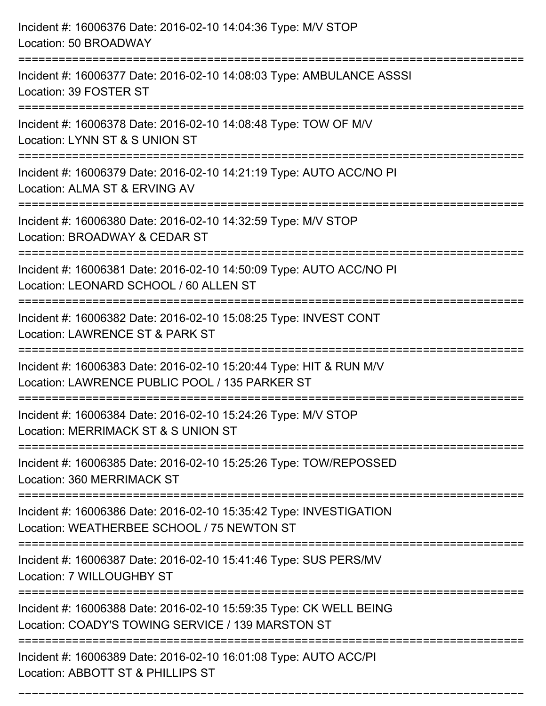| Incident #: 16006376 Date: 2016-02-10 14:04:36 Type: M/V STOP<br>Location: 50 BROADWAY                                                |
|---------------------------------------------------------------------------------------------------------------------------------------|
| =================================<br>Incident #: 16006377 Date: 2016-02-10 14:08:03 Type: AMBULANCE ASSSI<br>Location: 39 FOSTER ST   |
| Incident #: 16006378 Date: 2016-02-10 14:08:48 Type: TOW OF M/V<br>Location: LYNN ST & S UNION ST<br>=============================    |
| Incident #: 16006379 Date: 2016-02-10 14:21:19 Type: AUTO ACC/NO PI<br>Location: ALMA ST & ERVING AV                                  |
| Incident #: 16006380 Date: 2016-02-10 14:32:59 Type: M/V STOP<br>Location: BROADWAY & CEDAR ST                                        |
| Incident #: 16006381 Date: 2016-02-10 14:50:09 Type: AUTO ACC/NO PI<br>Location: LEONARD SCHOOL / 60 ALLEN ST                         |
| :=============================<br>Incident #: 16006382 Date: 2016-02-10 15:08:25 Type: INVEST CONT<br>Location: LAWRENCE ST & PARK ST |
| Incident #: 16006383 Date: 2016-02-10 15:20:44 Type: HIT & RUN M/V<br>Location: LAWRENCE PUBLIC POOL / 135 PARKER ST                  |
| Incident #: 16006384 Date: 2016-02-10 15:24:26 Type: M/V STOP<br>Location: MERRIMACK ST & S UNION ST                                  |
| Incident #: 16006385 Date: 2016-02-10 15:25:26 Type: TOW/REPOSSED<br>Location: 360 MERRIMACK ST                                       |
| Incident #: 16006386 Date: 2016-02-10 15:35:42 Type: INVESTIGATION<br>Location: WEATHERBEE SCHOOL / 75 NEWTON ST                      |
| Incident #: 16006387 Date: 2016-02-10 15:41:46 Type: SUS PERS/MV<br>Location: 7 WILLOUGHBY ST                                         |
| Incident #: 16006388 Date: 2016-02-10 15:59:35 Type: CK WELL BEING<br>Location: COADY'S TOWING SERVICE / 139 MARSTON ST               |
| Incident #: 16006389 Date: 2016-02-10 16:01:08 Type: AUTO ACC/PI<br>Location: ABBOTT ST & PHILLIPS ST                                 |

===========================================================================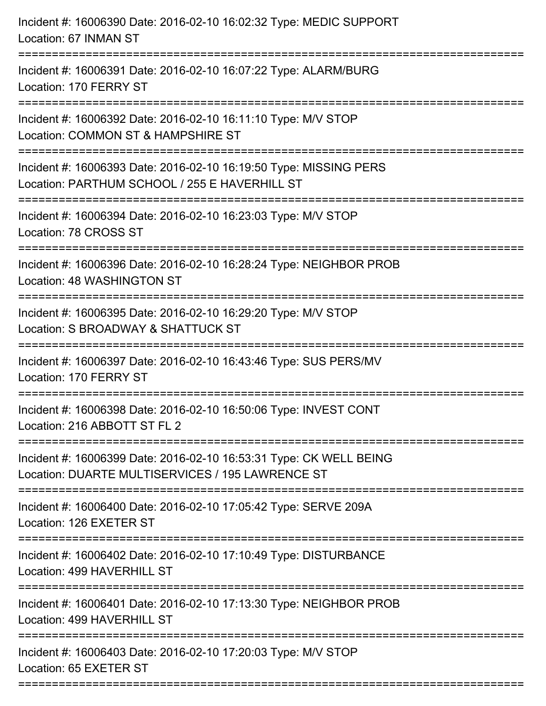| Incident #: 16006390 Date: 2016-02-10 16:02:32 Type: MEDIC SUPPORT<br>Location: 67 INMAN ST                                                                 |
|-------------------------------------------------------------------------------------------------------------------------------------------------------------|
| Incident #: 16006391 Date: 2016-02-10 16:07:22 Type: ALARM/BURG<br>Location: 170 FERRY ST                                                                   |
| Incident #: 16006392 Date: 2016-02-10 16:11:10 Type: M/V STOP<br>Location: COMMON ST & HAMPSHIRE ST                                                         |
| Incident #: 16006393 Date: 2016-02-10 16:19:50 Type: MISSING PERS<br>Location: PARTHUM SCHOOL / 255 E HAVERHILL ST<br>===================================== |
| Incident #: 16006394 Date: 2016-02-10 16:23:03 Type: M/V STOP<br>Location: 78 CROSS ST                                                                      |
| Incident #: 16006396 Date: 2016-02-10 16:28:24 Type: NEIGHBOR PROB<br>Location: 48 WASHINGTON ST                                                            |
| Incident #: 16006395 Date: 2016-02-10 16:29:20 Type: M/V STOP<br>Location: S BROADWAY & SHATTUCK ST                                                         |
| Incident #: 16006397 Date: 2016-02-10 16:43:46 Type: SUS PERS/MV<br>Location: 170 FERRY ST                                                                  |
| Incident #: 16006398 Date: 2016-02-10 16:50:06 Type: INVEST CONT<br>Location: 216 ABBOTT ST FL 2                                                            |
| Incident #: 16006399 Date: 2016-02-10 16:53:31 Type: CK WELL BEING<br>Location: DUARTE MULTISERVICES / 195 LAWRENCE ST                                      |
| Incident #: 16006400 Date: 2016-02-10 17:05:42 Type: SERVE 209A<br>Location: 126 EXETER ST                                                                  |
| Incident #: 16006402 Date: 2016-02-10 17:10:49 Type: DISTURBANCE<br>Location: 499 HAVERHILL ST                                                              |
| Incident #: 16006401 Date: 2016-02-10 17:13:30 Type: NEIGHBOR PROB<br>Location: 499 HAVERHILL ST                                                            |
| Incident #: 16006403 Date: 2016-02-10 17:20:03 Type: M/V STOP<br>Location: 65 EXETER ST                                                                     |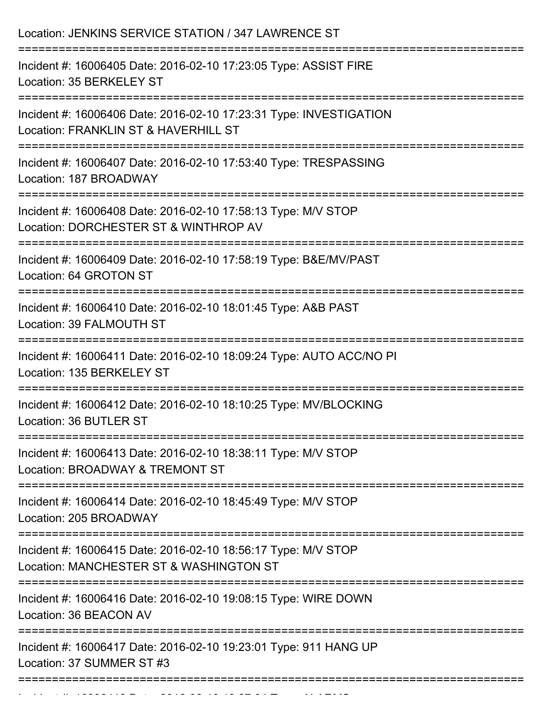| Location: JENKINS SERVICE STATION / 347 LAWRENCE ST                                                                                         |
|---------------------------------------------------------------------------------------------------------------------------------------------|
| Incident #: 16006405 Date: 2016-02-10 17:23:05 Type: ASSIST FIRE<br>Location: 35 BERKELEY ST                                                |
| Incident #: 16006406 Date: 2016-02-10 17:23:31 Type: INVESTIGATION<br>Location: FRANKLIN ST & HAVERHILL ST                                  |
| Incident #: 16006407 Date: 2016-02-10 17:53:40 Type: TRESPASSING<br>Location: 187 BROADWAY                                                  |
| Incident #: 16006408 Date: 2016-02-10 17:58:13 Type: M/V STOP<br>Location: DORCHESTER ST & WINTHROP AV                                      |
| Incident #: 16006409 Date: 2016-02-10 17:58:19 Type: B&E/MV/PAST<br>Location: 64 GROTON ST                                                  |
| Incident #: 16006410 Date: 2016-02-10 18:01:45 Type: A&B PAST<br>Location: 39 FALMOUTH ST                                                   |
| Incident #: 16006411 Date: 2016-02-10 18:09:24 Type: AUTO ACC/NO PI<br>Location: 135 BERKELEY ST                                            |
| Incident #: 16006412 Date: 2016-02-10 18:10:25 Type: MV/BLOCKING<br>Location: 36 BUTLER ST                                                  |
| ------------------------<br>Incident #: 16006413 Date: 2016-02-10 18:38:11 Type: M/V STOP<br>Location: BROADWAY & TREMONT ST                |
| Incident #: 16006414 Date: 2016-02-10 18:45:49 Type: M/V STOP<br>Location: 205 BROADWAY                                                     |
| ===============================<br>Incident #: 16006415 Date: 2016-02-10 18:56:17 Type: M/V STOP<br>Location: MANCHESTER ST & WASHINGTON ST |
| Incident #: 16006416 Date: 2016-02-10 19:08:15 Type: WIRE DOWN<br>Location: 36 BEACON AV                                                    |
| Incident #: 16006417 Date: 2016-02-10 19:23:01 Type: 911 HANG UP<br>Location: 37 SUMMER ST #3                                               |
|                                                                                                                                             |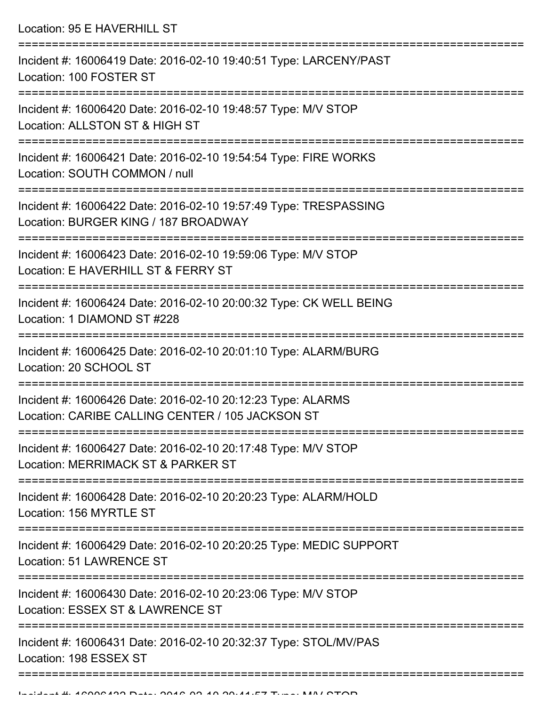Location: 95 E HAVERHILL ST =========================================================================== Incident #: 16006419 Date: 2016-02-10 19:40:51 Type: LARCENY/PAST Location: 100 FOSTER ST =========================================================================== Incident #: 16006420 Date: 2016-02-10 19:48:57 Type: M/V STOP Location: ALLSTON ST & HIGH ST =========================================================================== Incident #: 16006421 Date: 2016-02-10 19:54:54 Type: FIRE WORKS Location: SOUTH COMMON / null =========================================================================== Incident #: 16006422 Date: 2016-02-10 19:57:49 Type: TRESPASSING Location: BURGER KING / 187 BROADWAY =========================================================================== Incident #: 16006423 Date: 2016-02-10 19:59:06 Type: M/V STOP Location: E HAVERHILL ST & FERRY ST =========================================================================== Incident #: 16006424 Date: 2016-02-10 20:00:32 Type: CK WELL BEING Location: 1 DIAMOND ST #228 =========================================================================== Incident #: 16006425 Date: 2016-02-10 20:01:10 Type: ALARM/BURG Location: 20 SCHOOL ST =========================================================================== Incident #: 16006426 Date: 2016-02-10 20:12:23 Type: ALARMS Location: CARIBE CALLING CENTER / 105 JACKSON ST =========================================================================== Incident #: 16006427 Date: 2016-02-10 20:17:48 Type: M/V STOP Location: MERRIMACK ST & PARKER ST =========================================================================== Incident #: 16006428 Date: 2016-02-10 20:20:23 Type: ALARM/HOLD Location: 156 MYRTLE ST =========================================================================== Incident #: 16006429 Date: 2016-02-10 20:20:25 Type: MEDIC SUPPORT Location: 51 LAWRENCE ST =========================================================================== Incident #: 16006430 Date: 2016-02-10 20:23:06 Type: M/V STOP Location: ESSEX ST & LAWRENCE ST =========================================================================== Incident #: 16006431 Date: 2016-02-10 20:32:37 Type: STOL/MV/PAS Location: 198 ESSEX ST

===========================================================================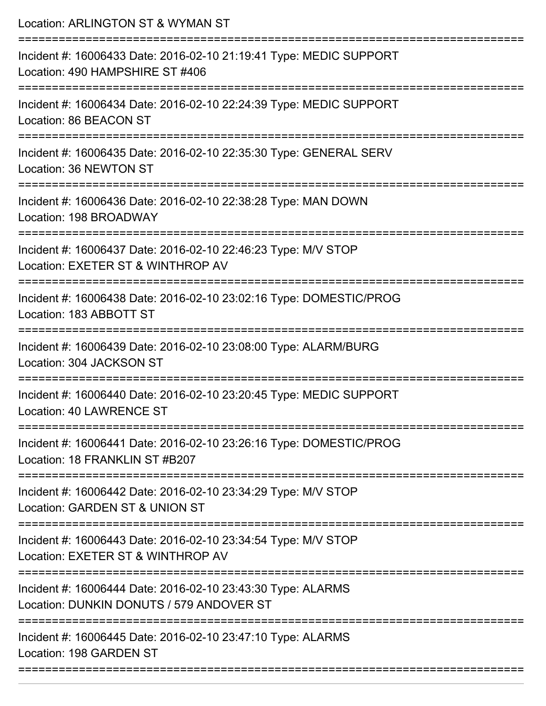| Location: ARLINGTON ST & WYMAN ST                                                                                            |
|------------------------------------------------------------------------------------------------------------------------------|
| Incident #: 16006433 Date: 2016-02-10 21:19:41 Type: MEDIC SUPPORT<br>Location: 490 HAMPSHIRE ST #406<br>:================== |
| Incident #: 16006434 Date: 2016-02-10 22:24:39 Type: MEDIC SUPPORT<br>Location: 86 BEACON ST                                 |
| Incident #: 16006435 Date: 2016-02-10 22:35:30 Type: GENERAL SERV<br>Location: 36 NEWTON ST                                  |
| Incident #: 16006436 Date: 2016-02-10 22:38:28 Type: MAN DOWN<br>Location: 198 BROADWAY                                      |
| Incident #: 16006437 Date: 2016-02-10 22:46:23 Type: M/V STOP<br>Location: EXETER ST & WINTHROP AV                           |
| Incident #: 16006438 Date: 2016-02-10 23:02:16 Type: DOMESTIC/PROG<br>Location: 183 ABBOTT ST                                |
| Incident #: 16006439 Date: 2016-02-10 23:08:00 Type: ALARM/BURG<br>Location: 304 JACKSON ST                                  |
| Incident #: 16006440 Date: 2016-02-10 23:20:45 Type: MEDIC SUPPORT<br>Location: 40 LAWRENCE ST                               |
| Incident #: 16006441 Date: 2016-02-10 23:26:16 Type: DOMESTIC/PROG<br>Location: 18 FRANKLIN ST #B207                         |
| Incident #: 16006442 Date: 2016-02-10 23:34:29 Type: M/V STOP<br>Location: GARDEN ST & UNION ST                              |
| Incident #: 16006443 Date: 2016-02-10 23:34:54 Type: M/V STOP<br>Location: EXETER ST & WINTHROP AV                           |
| Incident #: 16006444 Date: 2016-02-10 23:43:30 Type: ALARMS<br>Location: DUNKIN DONUTS / 579 ANDOVER ST                      |
| Incident #: 16006445 Date: 2016-02-10 23:47:10 Type: ALARMS<br>Location: 198 GARDEN ST                                       |
|                                                                                                                              |